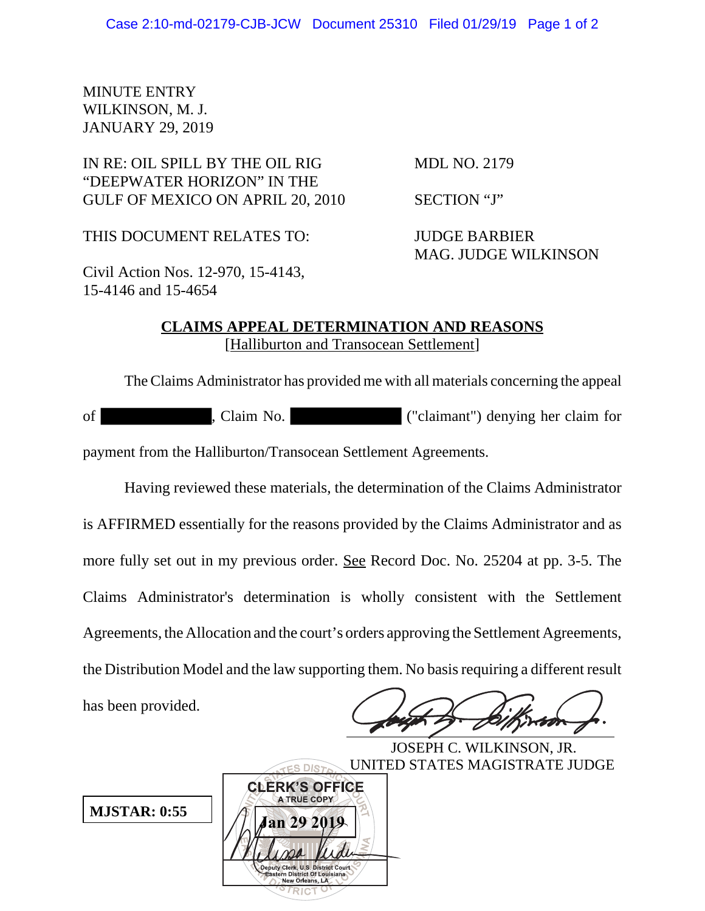## MINUTE ENTRY WILKINSON, M. J. JANUARY 29, 2019

IN RE: OIL SPILL BY THE OIL RIG MDL NO. 2179 "DEEPWATER HORIZON" IN THE GULF OF MEXICO ON APRIL 20, 2010 SECTION "J"

THIS DOCUMENT RELATES TO: JUDGE BARBIER

MAG. JUDGE WILKINSON

Civil Action Nos. 12-970, 15-4143, 15-4146 and 15-4654

## **CLAIMS APPEAL DETERMINATION AND REASONS** [Halliburton and Transocean Settlement]

The Claims Administrator has provided me with all materials concerning the appeal of , Claim No. ("claimant") denying her claim for

payment from the Halliburton/Transocean Settlement Agreements.

**Jan 29 2019**

Deputy Clerk, U.S. District Court stern District Of Louisiana

**CLERK'S OFFICE A TRUE COPY** 

Having reviewed these materials, the determination of the Claims Administrator is AFFIRMED essentially for the reasons provided by the Claims Administrator and as more fully set out in my previous order. See Record Doc. No. 25204 at pp. 3-5. The Claims Administrator's determination is wholly consistent with the Settlement Agreements, the Allocation and the court's orders approving the Settlement Agreements, the Distribution Model and the law supporting them. No basis requiring a different result

has been provided.

 $\overline{a}$ 

 JOSEPH C. WILKINSON, JR. UNITED STATES MAGISTRATE JUDGE